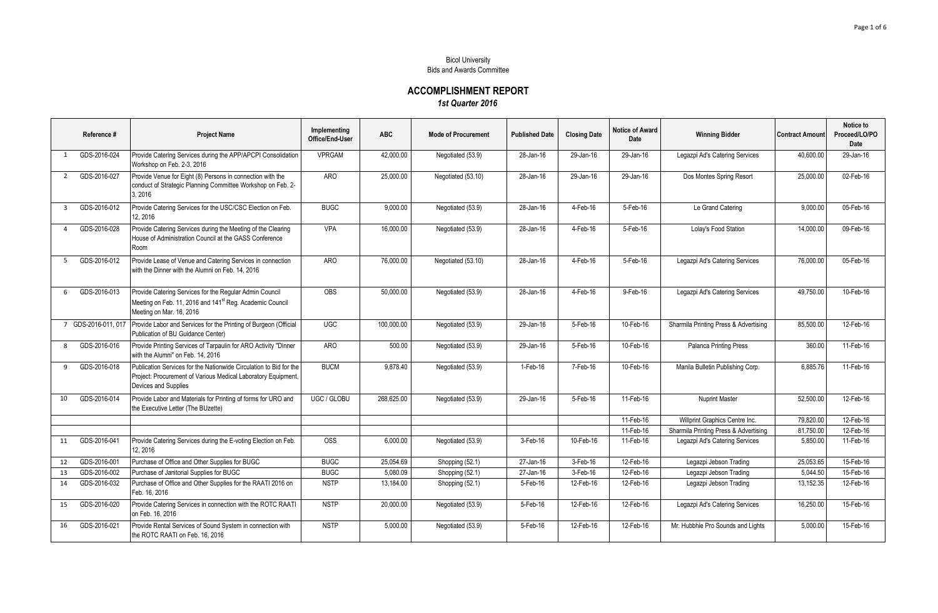## Bicol University Bids and Awards Committee

## **ACCOMPLISHMENT REPORT** *1st Quarter 2016*

|                         | Reference #         | <b>Project Name</b>                                                                                                                                         | Implementing<br>Office/End-User | <b>ABC</b> | <b>Mode of Procurement</b> | <b>Published Date</b> | <b>Closing Date</b> | Notice of Award<br>Date | <b>Winning Bidder</b>                 | <b>Contract Amount</b> | Notice to<br>Proceed/LO/PO<br>Date |
|-------------------------|---------------------|-------------------------------------------------------------------------------------------------------------------------------------------------------------|---------------------------------|------------|----------------------------|-----------------------|---------------------|-------------------------|---------------------------------------|------------------------|------------------------------------|
| 1                       | GDS-2016-024        | Provide Catering Services during the APP/APCPI Consolidation<br>Workshop on Feb. 2-3, 2016                                                                  | <b>VPRGAM</b>                   | 42,000.00  | Negotiated (53.9)          | 28-Jan-16             | 29-Jan-16           | 29-Jan-16               | Legazpi Ad's Catering Services        | 40,600.00              | 29-Jan-16                          |
| 2                       | GDS-2016-027        | Provide Venue for Eight (8) Persons in connection with the<br>conduct of Strategic Planning Committee Workshop on Feb. 2-<br>3, 2016                        | <b>ARO</b>                      | 25,000.00  | Negotiated (53.10)         | 28-Jan-16             | 29-Jan-16           | 29-Jan-16               | Dos Montes Spring Resort              | 25,000.00              | 02-Feb-16                          |
| $\overline{\mathbf{3}}$ | GDS-2016-012        | Provide Catering Services for the USC/CSC Election on Feb.<br>12, 2016                                                                                      | <b>BUGC</b>                     | 9,000.00   | Negotiated (53.9)          | 28-Jan-16             | 4-Feb-16            | 5-Feb-16                | Le Grand Catering                     | 9,000.00               | 05-Feb-16                          |
| $\overline{4}$          | GDS-2016-028        | Provide Catering Services during the Meeting of the Clearing<br>House of Administration Council at the GASS Conference<br>Room                              | <b>VPA</b>                      | 16,000.00  | Negotiated (53.9)          | 28-Jan-16             | 4-Feb-16            | 5-Feb-16                | Lolay's Food Station                  | 14,000.00              | 09-Feb-16                          |
| -5                      | GDS-2016-012        | Provide Lease of Venue and Catering Services in connection<br>with the Dinner with the Alumni on Feb. 14, 2016                                              | ARO                             | 76,000.00  | Negotiated (53.10)         | 28-Jan-16             | 4-Feb-16            | 5-Feb-16                | Legazpi Ad's Catering Services        | 76,000.00              | 05-Feb-16                          |
| 6                       | GDS-2016-013        | Provide Catering Services for the Regular Admin Council<br>Meeting on Feb. 11, 2016 and 141 <sup>st</sup> Reg. Academic Council<br>Meeting on Mar. 16, 2016 | <b>OBS</b>                      | 50,000.00  | Negotiated (53.9)          | 28-Jan-16             | 4-Feb-16            | $9-Feb-16$              | Legazpi Ad's Catering Services        | 49,750.00              | 10-Feb-16                          |
|                         | 7 GDS-2016-011, 017 | Provide Labor and Services for the Printing of Burgeon (Official<br>Publication of BU Guidance Center)                                                      | <b>UGC</b>                      | 100,000.00 | Negotiated (53.9)          | 29-Jan-16             | 5-Feb-16            | 10-Feb-16               | Sharmila Printing Press & Advertising | 85,500.00              | 12-Feb-16                          |
| 8                       | GDS-2016-016        | Provide Printing Services of Tarpaulin for ARO Activity "Dinner<br>with the Alumni" on Feb. 14, 2016                                                        | ARO                             | 500.00     | Negotiated (53.9)          | 29-Jan-16             | 5-Feb-16            | 10-Feb-16               | Palanca Printing Press                | 360.00                 | 11-Feb-16                          |
| 9                       | GDS-2016-018        | Publication Services for the Nationwide Circulation to Bid for the<br>Project: Procurement of Various Medical Laboratory Equipment,<br>Devices and Supplies | <b>BUCM</b>                     | 9,878.40   | Negotiated (53.9)          | 1-Feb-16              | 7-Feb-16            | 10-Feb-16               | Manila Bulletin Publishing Corp.      | 6,885.76               | 11-Feb-16                          |
| 10                      | GDS-2016-014        | Provide Labor and Materials for Printing of forms for URO and<br>the Executive Letter (The BUzette)                                                         | UGC / GLOBU                     | 268,625.00 | Negotiated (53.9)          | 29-Jan-16             | 5-Feb-16            | 11-Feb-16               | <b>Nuprint Master</b>                 | 52,500.00              | 12-Feb-16                          |
|                         |                     |                                                                                                                                                             |                                 |            |                            |                       |                     | 11-Feb-16               | Willprint Graphics Centre Inc.        | 79,820.00              | 12-Feb-16                          |
|                         |                     |                                                                                                                                                             |                                 |            |                            |                       |                     | 11-Feb-16               | Sharmila Printing Press & Advertising | 81,750.00              | 12-Feb-16                          |
| 11                      | GDS-2016-041        | Provide Catering Services during the E-voting Election on Feb.<br>12, 2016                                                                                  | <b>OSS</b>                      | 6.000.00   | Negotiated (53.9)          | 3-Feb-16              | 10-Feb-16           | 11-Feb-16               | Legazpi Ad's Catering Services        | 5.850.00               | 11-Feb-16                          |
| 12                      | GDS-2016-001        | Purchase of Office and Other Supplies for BUGC                                                                                                              | <b>BUGC</b>                     | 25,054.69  | Shopping (52.1)            | 27-Jan-16             | 3-Feb-16            | 12-Feb-16               | Legazpi Jebson Trading                | 25,053.65              | 15-Feb-16                          |
| 13                      | GDS-2016-002        | Purchase of Janitorial Supplies for BUGC                                                                                                                    | <b>BUGC</b>                     | 5,080.09   | Shopping (52.1)            | 27-Jan-16             | 3-Feb-16            | 12-Feb-16               | Legazpi Jebson Trading                | 5.044.50               | 15-Feb-16                          |
| 14                      | GDS-2016-032        | Purchase of Office and Other Supplies for the RAATI 2016 on<br>Feb. 16, 2016                                                                                | <b>NSTP</b>                     | 13,184.00  | Shopping (52.1)            | 5-Feb-16              | 12-Feb-16           | 12-Feb-16               | Legazpi Jebson Trading                | 13,152.35              | 12-Feb-16                          |
| 15                      | GDS-2016-020        | Provide Catering Services in connection with the ROTC RAATI<br>on Feb. 16, 2016                                                                             | <b>NSTP</b>                     | 20,000.00  | Negotiated (53.9)          | 5-Feb-16              | 12-Feb-16           | 12-Feb-16               | Legazpi Ad's Catering Services        | 16.250.00              | 15-Feb-16                          |
| 16                      | GDS-2016-021        | Provide Rental Services of Sound System in connection with<br>the ROTC RAATI on Feb. 16, 2016                                                               | <b>NSTP</b>                     | 5,000.00   | Negotiated (53.9)          | 5-Feb-16              | 12-Feb-16           | 12-Feb-16               | Mr. Hubbhie Pro Sounds and Lights     | 5,000.00               | 15-Feb-16                          |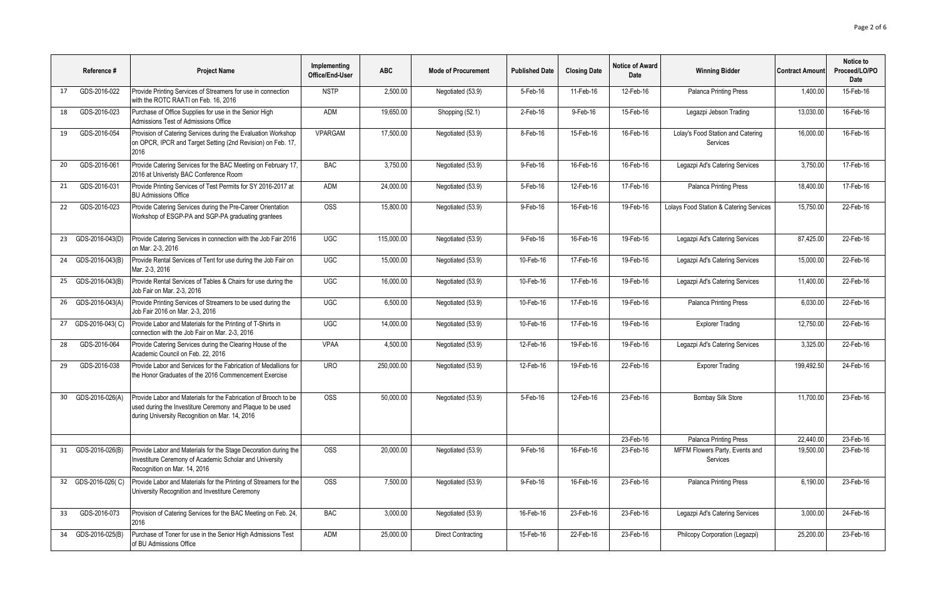|    | Reference #        | <b>Project Name</b>                                                                                                                                                             | Implementing<br>Office/End-User | <b>ABC</b> | <b>Mode of Procurement</b> | <b>Published Date</b> | <b>Closing Date</b> | <b>Notice of Award</b><br>Date | <b>Winning Bidder</b>                         | <b>Contract Amount</b> | Notice to<br>Proceed/LO/PO<br>Date |
|----|--------------------|---------------------------------------------------------------------------------------------------------------------------------------------------------------------------------|---------------------------------|------------|----------------------------|-----------------------|---------------------|--------------------------------|-----------------------------------------------|------------------------|------------------------------------|
| 17 | GDS-2016-022       | Provide Printing Services of Streamers for use in connection<br>with the ROTC RAATI on Feb. 16, 2016                                                                            | <b>NSTP</b>                     | 2.500.00   | Negotiated (53.9)          | 5-Feb-16              | 11-Feb-16           | 12-Feb-16                      | Palanca Printing Press                        | 1.400.00               | 15-Feb-16                          |
| 18 | GDS-2016-023       | Purchase of Office Supplies for use in the Senior High<br>Admissions Test of Admissions Office                                                                                  | <b>ADM</b>                      | 19,650.00  | Shopping (52.1)            | 2-Feb-16              | 9-Feb-16            | 15-Feb-16                      | Legazpi Jebson Trading                        | 13,030.00              | 16-Feb-16                          |
| 19 | GDS-2016-054       | Provision of Catering Services during the Evaluation Workshop<br>on OPCR, IPCR and Target Setting (2nd Revision) on Feb. 17,<br>2016                                            | VPARGAM                         | 17,500.00  | Negotiated (53.9)          | 8-Feb-16              | 15-Feb-16           | 16-Feb-16                      | Lolay's Food Station and Catering<br>Services | 16,000.00              | 16-Feb-16                          |
| 20 | GDS-2016-061       | Provide Catering Services for the BAC Meeting on February 17,<br>2016 at Univeristy BAC Conference Room                                                                         | <b>BAC</b>                      | 3,750.00   | Negotiated (53.9)          | 9-Feb-16              | 16-Feb-16           | 16-Feb-16                      | Legazpi Ad's Catering Services                | 3,750.00               | 17-Feb-16                          |
| 21 | GDS-2016-031       | Provide Printing Services of Test Permits for SY 2016-2017 at<br><b>BU Admissions Office</b>                                                                                    | ADM                             | 24,000.00  | Negotiated (53.9)          | 5-Feb-16              | 12-Feb-16           | 17-Feb-16                      | <b>Palanca Printing Press</b>                 | 18,400.00              | 17-Feb-16                          |
| 22 | GDS-2016-023       | Provide Catering Services during the Pre-Career Orientation<br>Workshop of ESGP-PA and SGP-PA graduating grantees                                                               | <b>OSS</b>                      | 15,800.00  | Negotiated (53.9)          | 9-Feb-16              | 16-Feb-16           | 19-Feb-16                      | Lolays Food Station & Catering Services       | 15.750.00              | 22-Feb-16                          |
| 23 | GDS-2016-043(D)    | Provide Catering Services in connection with the Job Fair 2016<br>on Mar. 2-3, 2016                                                                                             | <b>UGC</b>                      | 115,000.00 | Negotiated (53.9)          | 9-Feb-16              | 16-Feb-16           | 19-Feb-16                      | Legazpi Ad's Catering Services                | 87,425.00              | 22-Feb-16                          |
| 24 | GDS-2016-043(B)    | Provide Rental Services of Tent for use during the Job Fair on<br>Mar. 2-3. 2016                                                                                                | <b>UGC</b>                      | 15,000.00  | Negotiated (53.9)          | 10-Feb-16             | 17-Feb-16           | 19-Feb-16                      | Legazpi Ad's Catering Services                | 15,000.00              | 22-Feb-16                          |
| 25 | GDS-2016-043(B)    | Provide Rental Services of Tables & Chairs for use during the<br>Job Fair on Mar. 2-3, 2016                                                                                     | <b>UGC</b>                      | 16,000.00  | Negotiated (53.9)          | 10-Feb-16             | 17-Feb-16           | 19-Feb-16                      | Legazpi Ad's Catering Services                | 11,400.00              | 22-Feb-16                          |
| 26 | GDS-2016-043(A)    | Provide Printing Services of Streamers to be used during the<br>Job Fair 2016 on Mar. 2-3, 2016                                                                                 | <b>UGC</b>                      | 6,500.00   | Negotiated (53.9)          | 10-Feb-16             | 17-Feb-16           | 19-Feb-16                      | Palanca Printing Press                        | 6,030.00               | 22-Feb-16                          |
| 27 | GDS-2016-043(C)    | Provide Labor and Materials for the Printing of T-Shirts in<br>connection with the Job Fair on Mar. 2-3, 2016                                                                   | <b>UGC</b>                      | 14,000.00  | Negotiated (53.9)          | 10-Feb-16             | 17-Feb-16           | 19-Feb-16                      | <b>Explorer Trading</b>                       | 12,750.00              | 22-Feb-16                          |
| 28 | GDS-2016-064       | Provide Catering Services during the Clearing House of the<br>Academic Council on Feb. 22, 2016                                                                                 | <b>VPAA</b>                     | 4,500.00   | Negotiated (53.9)          | 12-Feb-16             | 19-Feb-16           | 19-Feb-16                      | Legazpi Ad's Catering Services                | 3,325.00               | 22-Feb-16                          |
| 29 | GDS-2016-038       | Provide Labor and Services for the Fabrication of Medallions for<br>the Honor Graduates of the 2016 Commencement Exercise                                                       | <b>URO</b>                      | 250,000.00 | Negotiated (53.9)          | 12-Feb-16             | 19-Feb-16           | 22-Feb-16                      | <b>Exporer Trading</b>                        | 199,492.50             | 24-Feb-16                          |
| 30 | GDS-2016-026(A)    | Provide Labor and Materials for the Fabrication of Brooch to be<br>used during the Investiture Ceremony and Plaque to be used<br>during University Recognition on Mar. 14, 2016 | <b>OSS</b>                      | 50,000.00  | Negotiated (53.9)          | 5-Feb-16              | 12-Feb-16           | 23-Feb-16                      | <b>Bombay Silk Store</b>                      | 11,700.00              | 23-Feb-16                          |
|    |                    |                                                                                                                                                                                 |                                 |            |                            |                       |                     | 23-Feb-16                      | <b>Palanca Printing Press</b>                 | 22,440.00              | 23-Feb-16                          |
| 31 | GDS-2016-026(B)    | Provide Labor and Materials for the Stage Decoration during the<br>Investiture Ceremony of Academic Scholar and University<br>Recognition on Mar. 14, 2016                      | OSS                             | 20,000.00  | Negotiated (53.9)          | 9-Feb-16              | 16-Feb-16           | 23-Feb-16                      | MFFM Flowers Party, Events and<br>Services    | 19,500.00              | 23-Feb-16                          |
|    | 32 GDS-2016-026(C) | Provide Labor and Materials for the Printing of Streamers for the<br>University Recognition and Investiture Ceremony                                                            | OSS                             | 7.500.00   | Negotiated (53.9)          | 9-Feb-16              | 16-Feb-16           | 23-Feb-16                      | Palanca Printing Press                        | 6.190.00               | 23-Feb-16                          |
| 33 | GDS-2016-073       | Provision of Catering Services for the BAC Meeting on Feb. 24,<br>2016                                                                                                          | <b>BAC</b>                      | 3,000.00   | Negotiated (53.9)          | 16-Feb-16             | 23-Feb-16           | 23-Feb-16                      | Legazpi Ad's Catering Services                | 3,000.00               | 24-Feb-16                          |
| 34 | GDS-2016-025(B)    | Purchase of Toner for use in the Senior High Admissions Test<br>of BU Admissions Office                                                                                         | ADM                             | 25.000.00  | Direct Contracting         | 15-Feb-16             | 22-Feb-16           | 23-Feb-16                      | Philcopy Corporation (Legazpi)                | 25.200.00              | 23-Feb-16                          |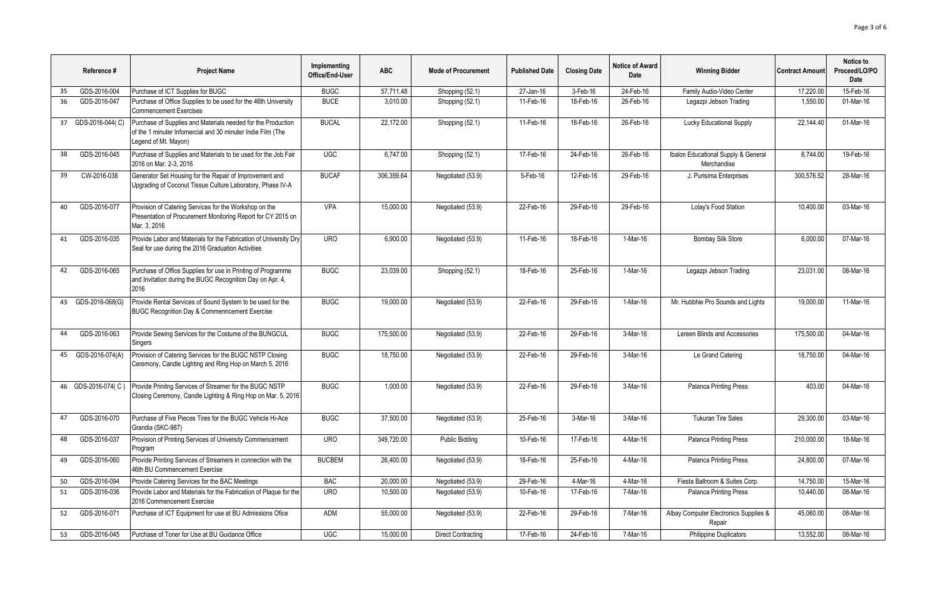|    | Reference #        | <b>Project Name</b>                                                                                                                                 | Implementing<br>Office/End-User | <b>ABC</b> | <b>Mode of Procurement</b> | <b>Published Date</b> | <b>Closing Date</b> | <b>Notice of Award</b><br>Date | <b>Winning Bidder</b>                              | <b>Contract Amount</b> | Notice to<br>Proceed/LO/PO<br>Date |
|----|--------------------|-----------------------------------------------------------------------------------------------------------------------------------------------------|---------------------------------|------------|----------------------------|-----------------------|---------------------|--------------------------------|----------------------------------------------------|------------------------|------------------------------------|
| 35 | GDS-2016-004       | Purchase of ICT Supplies for BUGC                                                                                                                   | <b>BUGC</b>                     | 57,711.48  | Shopping (52.1)            | 27-Jan-16             | 3-Feb-16            | 24-Feb-16                      | Family Audio-Video Center                          | 17,220.00              | 15-Feb-16                          |
| 36 | GDS-2016-047       | Purchase of Office Supplies to be used for the 46th University<br><b>Commencement Exercises</b>                                                     | <b>BUCE</b>                     | 3,010.00   | Shopping (52.1)            | 11-Feb-16             | 18-Feb-16           | 26-Feb-16                      | Legazpi Jebson Trading                             | 1,550.00               | 01-Mar-16                          |
| 37 | GDS-2016-044(C)    | Purchase of Supplies and Materials needed for the Production<br>of the 1 minuter Infomercial and 30 minuter Indie Film (The<br>Legend of Mt. Mayon) | <b>BUCAL</b>                    | 22,172.00  | Shopping (52.1)            | 11-Feb-16             | 18-Feb-16           | 26-Feb-16                      | <b>Lucky Educational Supply</b>                    | 22.144.40              | 01-Mar-16                          |
| 38 | GDS-2016-045       | Purchase of Supplies and Materials to be used for the Job Fair<br>2016 on Mar. 2-3, 2016                                                            | <b>UGC</b>                      | 6,747.00   | Shopping (52.1)            | 17-Feb-16             | 24-Feb-16           | 26-Feb-16                      | Ibalon Educational Supply & General<br>Merchandise | 6,744.00               | 19-Feb-16                          |
| 39 | CW-2016-038        | Generator Set Housing for the Repair of Improvement and<br>Upgrading of Coconut Tissue Culture Laboratory, Phase IV-A                               | <b>BUCAF</b>                    | 306,359.64 | Negotiated (53.9)          | 5-Feb-16              | 12-Feb-16           | 29-Feb-16                      | J. Purisima Enterprises                            | 300,576.52             | 28-Mar-16                          |
| 40 | GDS-2016-077       | Provision of Catering Services for the Workshop on the<br>Presentation of Procurement Monitoring Report for CY 2015 on<br>Mar. 3. 2016              | <b>VPA</b>                      | 15.000.00  | Negotiated (53.9)          | 22-Feb-16             | 29-Feb-16           | 29-Feb-16                      | Lolav's Food Station                               | 10.400.00              | 03-Mar-16                          |
| 41 | GDS-2016-035       | Provide Labor and Materials for the Fabrication of University Dry<br>Seal for use during the 2016 Graduation Activities                             | <b>URO</b>                      | 6,900.00   | Negotiated (53.9)          | 11-Feb-16             | 18-Feb-16           | 1-Mar-16                       | <b>Bombay Silk Store</b>                           | 6,000.00               | 07-Mar-16                          |
| 42 | GDS-2016-065       | Purchase of Office Supplies for use in Printing of Programme<br>and Invitation during the BUGC Recognition Day on Apr. 4,<br>2016                   | <b>BUGC</b>                     | 23,039.00  | Shopping (52.1)            | 18-Feb-16             | 25-Feb-16           | 1-Mar-16                       | Legazpi Jebson Trading                             | 23.031.00              | 08-Mar-16                          |
| 43 | GDS-2016-068(G)    | Provide Rental Services of Sound System to be used for the<br><b>BUGC Recognition Day &amp; Commenncement Exercise</b>                              | <b>BUGC</b>                     | 19,000.00  | Negotiated (53.9)          | 22-Feb-16             | 29-Feb-16           | $1-Mar-16$                     | Mr. Hubbhie Pro Sounds and Lights                  | 19,000.00              | 11-Mar-16                          |
| 44 | GDS-2016-063       | Provide Sewing Services for the Costume of the BUNGCUL<br>Singers                                                                                   | <b>BUGC</b>                     | 175,500.00 | Negotiated (53.9)          | 22-Feb-16             | 29-Feb-16           | 3-Mar-16                       | Lereen Blinds and Accessories                      | 175,500.00             | 04-Mar-16                          |
| 45 | GDS-2016-074(A)    | Provision of Catering Services for the BUGC NSTP Closing<br>Ceremony, Candle Lighting and Ring Hop on March 5, 2016                                 | <b>BUGC</b>                     | 18.750.00  | Negotiated (53.9)          | 22-Feb-16             | 29-Feb-16           | 3-Mar-16                       | Le Grand Catering                                  | 18.750.00              | 04-Mar-16                          |
|    | 46 GDS-2016-074(C) | Provide Prinitng Services of Streamer for the BUGC NSTP<br>Closing Ceremony, Candle Lighting & Ring Hop on Mar. 5, 2016                             | <b>BUGC</b>                     | 1,000.00   | Negotiated (53.9)          | 22-Feb-16             | 29-Feb-16           | 3-Mar-16                       | Palanca Printing Press                             | 403.00                 | 04-Mar-16                          |
| 47 | GDS-2016-070       | Purchase of Five Pieces Tires for the BUGC Vehicle Hi-Ace<br>Grandia (SKC-987)                                                                      | <b>BUGC</b>                     | 37,500.00  | Negotiated (53.9)          | 25-Feb-16             | 3-Mar-16            | 3-Mar-16                       | <b>Tukuran Tire Sales</b>                          | 29.300.00              | 03-Mar-16                          |
| 48 | GDS-2016-037       | Provision of Printing Services of University Commencement<br>Program                                                                                | <b>URO</b>                      | 349,720.00 | <b>Public Bidding</b>      | 10-Feb-16             | 17-Feb-16           | 4-Mar-16                       | Palanca Printing Press                             | 210,000.00             | 18-Mar-16                          |
| 49 | GDS-2016-060       | Provide Printing Services of Streamers in connection with the<br>46th BU Commencement Exercise                                                      | <b>BUCBEM</b>                   | 26,400.00  | Negotiated (53.9)          | 18-Feb-16             | 25-Feb-16           | 4-Mar-16                       | <b>Palanca Printing Press</b>                      | 24,800.00              | 07-Mar-16                          |
| 50 | GDS-2016-094       | Provide Catering Services for the BAC Meetings                                                                                                      | <b>BAC</b>                      | 20,000.00  | Negotiated (53.9)          | 29-Feb-16             | 4-Mar-16            | 4-Mar-16                       | Fiesta Ballroom & Suites Corp.                     | 14,750.00              | 15-Mar-16                          |
| 51 | GDS-2016-036       | Provide Labor and Materials for the Fabrication of Plague for the<br>2016 Commencement Exercise                                                     | <b>URO</b>                      | 10,500.00  | Negotiated (53.9)          | 10-Feb-16             | 17-Feb-16           | 7-Mar-16                       | <b>Palanca Printing Press</b>                      | 10,440.00              | 08-Mar-16                          |
| 52 | GDS-2016-071       | Purchase of ICT Equipment for use at BU Admissions Ofice                                                                                            | ADM                             | 55,000.00  | Negotiated (53.9)          | 22-Feb-16             | 29-Feb-16           | 7-Mar-16                       | Albay Computer Electronics Supplies &<br>Repair    | 45,060.00              | 08-Mar-16                          |
| 53 | GDS-2016-045       | Purchase of Toner for Use at BU Guidance Office                                                                                                     | <b>UGC</b>                      | 15,000.00  | <b>Direct Contracting</b>  | 17-Feb-16             | 24-Feb-16           | 7-Mar-16                       | <b>Philippine Duplicators</b>                      | 13,552.00              | 08-Mar-16                          |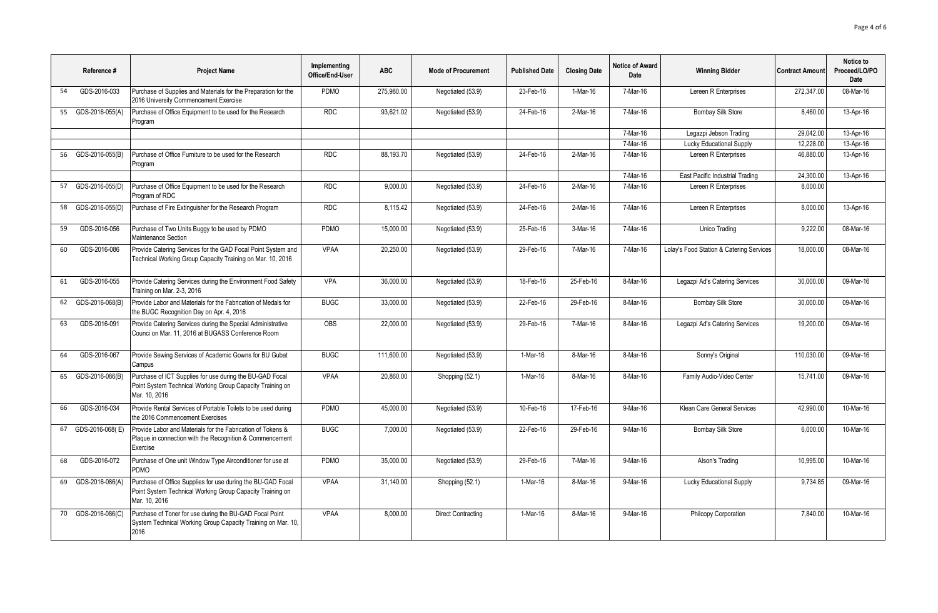|    | Reference #        | <b>Project Name</b>                                                                                                                       | Implementing<br>Office/End-User | <b>ABC</b> | <b>Mode of Procurement</b> | <b>Published Date</b> | <b>Closing Date</b> | <b>Notice of Award</b><br>Date | <b>Winning Bidder</b>                    | <b>Contract Amount</b> | Notice to<br>Proceed/LO/PO<br><b>Date</b> |
|----|--------------------|-------------------------------------------------------------------------------------------------------------------------------------------|---------------------------------|------------|----------------------------|-----------------------|---------------------|--------------------------------|------------------------------------------|------------------------|-------------------------------------------|
| 54 | GDS-2016-033       | Purchase of Supplies and Materials for the Preparation for the<br>2016 University Commencement Exercise                                   | PDMO                            | 275,980.00 | Negotiated (53.9)          | 23-Feb-16             | 1-Mar-16            | 7-Mar-16                       | Lereen R Enterprises                     | 272.347.00             | 08-Mar-16                                 |
| 55 | GDS-2016-055(A)    | Purchase of Office Equipment to be used for the Research<br>Program                                                                       | <b>RDC</b>                      | 93,621.02  | Negotiated (53.9)          | 24-Feb-16             | 2-Mar-16            | 7-Mar-16                       | <b>Bombay Silk Store</b>                 | 8,460.00               | 13-Apr-16                                 |
|    |                    |                                                                                                                                           |                                 |            |                            |                       |                     | 7-Mar-16                       | Legazpi Jebson Trading                   | 29.042.00              | 13-Apr-16                                 |
|    |                    |                                                                                                                                           |                                 |            |                            |                       |                     | 7-Mar-16                       | Lucky Educational Supply                 | 12,228.00              | 13-Apr-16                                 |
|    | 56 GDS-2016-055(B) | Purchase of Office Furniture to be used for the Research<br>Program                                                                       | <b>RDC</b>                      | 88.193.70  | Negotiated (53.9)          | 24-Feb-16             | $2-Mar-16$          | 7-Mar-16                       | Lereen R Enterprises                     | 46,880.00              | 13-Apr-16                                 |
|    |                    |                                                                                                                                           |                                 |            |                            |                       |                     | 7-Mar-16                       | East Pacific Industrial Trading          | 24.300.00              | 13-Apr-16                                 |
|    | 57 GDS-2016-055(D) | Purchase of Office Equipment to be used for the Research<br>Program of RDC                                                                | <b>RDC</b>                      | 9.000.00   | Negotiated (53.9)          | 24-Feb-16             | $2-Mar-16$          | 7-Mar-16                       | Lereen R Enterprises                     | 8,000.00               |                                           |
| 58 | GDS-2016-055(D)    | Purchase of Fire Extinguisher for the Research Program                                                                                    | <b>RDC</b>                      | 8,115.42   | Negotiated (53.9)          | 24-Feb-16             | $2-Mar-16$          | 7-Mar-16                       | Lereen R Enterprises                     | 8,000.00               | 13-Apr-16                                 |
| 59 | GDS-2016-056       | Purchase of Two Units Buggy to be used by PDMO<br>Maintenance Section                                                                     | PDMO                            | 15.000.00  | Negotiated (53.9)          | 25-Feb-16             | 3-Mar-16            | 7-Mar-16                       | Unico Trading                            | 9.222.00               | 08-Mar-16                                 |
| 60 | GDS-2016-086       | Provide Catering Services for the GAD Focal Point System and<br>Technical Working Group Capacity Training on Mar. 10, 2016                | <b>VPAA</b>                     | 20.250.00  | Negotiated (53.9)          | 29-Feb-16             | 7-Mar-16            | 7-Mar-16                       | Lolay's Food Station & Catering Services | 18.000.00              | 08-Mar-16                                 |
| 61 | GDS-2016-055       | Provide Catering Services during the Environment Food Safety<br>Training on Mar. 2-3, 2016                                                | <b>VPA</b>                      | 36,000.00  | Negotiated (53.9)          | 18-Feb-16             | 25-Feb-16           | 8-Mar-16                       | Legazpi Ad's Catering Services           | 30,000.00              | 09-Mar-16                                 |
| 62 | GDS-2016-068(B)    | Provide Labor and Materials for the Fabrication of Medals for<br>the BUGC Recognition Day on Apr. 4, 2016                                 | <b>BUGC</b>                     | 33,000.00  | Negotiated (53.9)          | 22-Feb-16             | 29-Feb-16           | 8-Mar-16                       | <b>Bombay Silk Store</b>                 | 30,000.00              | 09-Mar-16                                 |
| 63 | GDS-2016-091       | Provide Catering Services during the Special Administrative<br>Counci on Mar. 11, 2016 at BUGASS Conference Room                          | OBS                             | 22,000.00  | Negotiated (53.9)          | 29-Feb-16             | 7-Mar-16            | 8-Mar-16                       | Legazpi Ad's Catering Services           | 19,200.00              | 09-Mar-16                                 |
| 64 | GDS-2016-067       | Provide Sewing Services of Academic Gowns for BU Gubat<br>Campus                                                                          | <b>BUGC</b>                     | 111,600.00 | Negotiated (53.9)          | 1-Mar-16              | 8-Mar-16            | 8-Mar-16                       | Sonny's Original                         | 110,030.00             | 09-Mar-16                                 |
| 65 | GDS-2016-086(B)    | Purchase of ICT Supplies for use during the BU-GAD Focal<br>Point System Technical Working Group Capacity Training on<br>Mar. 10. 2016    | <b>VPAA</b>                     | 20,860.00  | Shopping (52.1)            | 1-Mar-16              | 8-Mar-16            | 8-Mar-16                       | Family Audio-Video Center                | 15,741.00              | 09-Mar-16                                 |
| 66 | GDS-2016-034       | Provide Rental Services of Portable Toilets to be used during<br>the 2016 Commencement Exercises                                          | PDMO                            | 45,000.00  | Negotiated (53.9)          | 10-Feb-16             | 17-Feb-16           | 9-Mar-16                       | Klean Care General Services              | 42,990.00              | 10-Mar-16                                 |
| 67 | GDS-2016-068(E)    | Provide Labor and Materials for the Fabrication of Tokens &<br>Plaque in connection with the Recognition & Commencement<br>Exercise       | <b>BUGC</b>                     | 7,000.00   | Negotiated (53.9)          | 22-Feb-16             | 29-Feb-16           | 9-Mar-16                       | <b>Bombay Silk Store</b>                 | 6,000.00               | 10-Mar-16                                 |
| 68 | GDS-2016-072       | Purchase of One unit Window Type Airconditioner for use at<br><b>PDMO</b>                                                                 | PDMO                            | 35,000.00  | Negotiated (53.9)          | 29-Feb-16             | 7-Mar-16            | 9-Mar-16                       | Alson's Trading                          | 10,995.00              | 10-Mar-16                                 |
| 69 | GDS-2016-086(A)    | Purchase of Office Supplies for use during the BU-GAD Focal<br>Point System Technical Working Group Capacity Training on<br>Mar. 10, 2016 | <b>VPAA</b>                     | 31,140.00  | Shopping (52.1)            | 1-Mar-16              | 8-Mar-16            | 9-Mar-16                       | <b>Lucky Educational Supply</b>          | 9,734.85               | 09-Mar-16                                 |
| 70 | GDS-2016-086(C)    | Purchase of Toner for use during the BU-GAD Focal Point<br>System Technical Working Group Capacity Training on Mar. 10,<br>2016           | <b>VPAA</b>                     | 8.000.00   | <b>Direct Contracting</b>  | 1-Mar-16              | 8-Mar-16            | 9-Mar-16                       | Philcopy Corporation                     | 7.840.00               | 10-Mar-16                                 |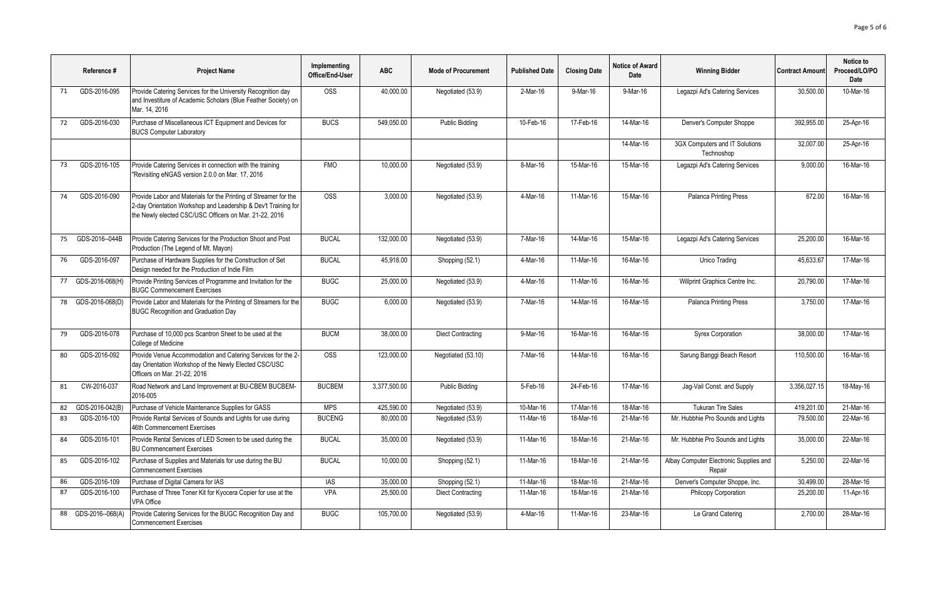|    | Reference #      | <b>Project Name</b>                                                                                                                                                                          | Implementing<br>Office/End-User | <b>ABC</b>   | <b>Mode of Procurement</b> | <b>Published Date</b> | <b>Closing Date</b> | <b>Notice of Award</b><br>Date | <b>Winning Bidder</b>                            | <b>Contract Amount</b> | Notice to<br>Proceed/LO/PO<br>Date |
|----|------------------|----------------------------------------------------------------------------------------------------------------------------------------------------------------------------------------------|---------------------------------|--------------|----------------------------|-----------------------|---------------------|--------------------------------|--------------------------------------------------|------------------------|------------------------------------|
| 71 | GDS-2016-095     | Provide Catering Services for the University Recognition day<br>and Investiture of Academic Scholars (Blue Feather Society) on<br>Mar. 14, 2016                                              | <b>OSS</b>                      | 40,000.00    | Negotiated (53.9)          | 2-Mar-16              | 9-Mar-16            | 9-Mar-16                       | Legazpi Ad's Catering Services                   | 30.500.00              | 10-Mar-16                          |
| 72 | GDS-2016-030     | Purchase of Miscellaneous ICT Equipment and Devices for<br><b>BUCS Computer Laboratory</b>                                                                                                   | <b>BUCS</b>                     | 549,050.00   | <b>Public Bidding</b>      | 10-Feb-16             | 17-Feb-16           | 14-Mar-16                      | Denver's Computer Shoppe                         | 392,955.00             | 25-Apr-16                          |
|    |                  |                                                                                                                                                                                              |                                 |              |                            |                       |                     | 14-Mar-16                      | 3GX Computers and IT Solutions<br>Technoshop     | 32,007.00              | 25-Apr-16                          |
| 73 | GDS-2016-105     | Provide Catering Services in connection with the training<br>"Revisiting eNGAS version 2.0.0 on Mar. 17, 2016                                                                                | <b>FMO</b>                      | 10,000.00    | Negotiated (53.9)          | 8-Mar-16              | 15-Mar-16           | 15-Mar-16                      | Legazpi Ad's Catering Services                   | 9,000.00               | 16-Mar-16                          |
| 74 | GDS-2016-090     | Provide Labor and Materials for the Printing of Streamer for the<br>2-day Orientation Workshop and Leadership & Dev't Training for<br>the Newly elected CSC/USC Officers on Mar. 21-22, 2016 | <b>OSS</b>                      | 3,000.00     | Negotiated (53.9)          | 4-Mar-16              | 11-Mar-16           | 15-Mar-16                      | Palanca Printing Press                           | 672.00                 | 16-Mar-16                          |
| 75 | GDS-2016--044B   | Provide Catering Services for the Production Shoot and Post<br>Production (The Legend of Mt. Mayon)                                                                                          | <b>BUCAL</b>                    | 132,000.00   | Negotiated (53.9)          | 7-Mar-16              | 14-Mar-16           | 15-Mar-16                      | Legazpi Ad's Catering Services                   | 25,200.00              | 16-Mar-16                          |
| 76 | GDS-2016-097     | Purchase of Hardware Supplies for the Construction of Set<br>Design needed for the Production of Indie Film                                                                                  | <b>BUCAL</b>                    | 45,918.00    | Shopping (52.1)            | 4-Mar-16              | 11-Mar-16           | 16-Mar-16                      | Unico Trading                                    | 45.633.67              | 17-Mar-16                          |
| 77 | GDS-2016-068(H)  | Provide Printing Services of Programme and Invitation for the<br><b>BUGC Commencement Exercises</b>                                                                                          | <b>BUGC</b>                     | 25,000.00    | Negotiated (53.9)          | 4-Mar-16              | 11-Mar-16           | 16-Mar-16                      | Willprint Graphics Centre Inc.                   | 20.790.00              | 17-Mar-16                          |
| 78 | GDS-2016-068(D)  | Provide Labor and Materials for the Printing of Streamers for the<br><b>BUGC Recognition and Graduation Day</b>                                                                              | <b>BUGC</b>                     | 6,000.00     | Negotiated (53.9)          | 7-Mar-16              | 14-Mar-16           | 16-Mar-16                      | Palanca Printing Press                           | 3.750.00               | 17-Mar-16                          |
| 79 | GDS-2016-078     | Purchase of 10,000 pcs Scantron Sheet to be used at the<br>College of Medicine                                                                                                               | <b>BUCM</b>                     | 38,000.00    | <b>Diect Contracting</b>   | 9-Mar-16              | 16-Mar-16           | 16-Mar-16                      | <b>Syrex Corporation</b>                         | 38,000.00              | 17-Mar-16                          |
| 80 | GDS-2016-092     | Provide Venue Accommodation and Catering Services for the 2-<br>day Orientation Workshop of the Newly Elected CSC/USC<br>Officers on Mar. 21-22, 2016                                        | <b>OSS</b>                      | 123,000.00   | Negotiated (53.10)         | 7-Mar-16              | 14-Mar-16           | 16-Mar-16                      | Sarung Banggi Beach Resort                       | 110.500.00             | 16-Mar-16                          |
| 81 | CW-2016-037      | Road Network and Land Improvement at BU-CBEM BUCBEM-<br>2016-005                                                                                                                             | <b>BUCBEM</b>                   | 3,377,500.00 | <b>Public Bidding</b>      | 5-Feb-16              | 24-Feb-16           | 17-Mar-16                      | Jaq-Vail Const. and Supply                       | 3.356.027.15           | 18-May-16                          |
| 82 | GDS-2016-042(B)  | Purchase of Vehicle Maintenance Supplies for GASS                                                                                                                                            | <b>MPS</b>                      | 425.590.00   | Negotiated (53.9)          | 10-Mar-16             | 17-Mar-16           | 18-Mar-16                      | <b>Tukuran Tire Sales</b>                        | 419.201.00             | 21-Mar-16                          |
| 83 | GDS-2016-100     | Provide Rental Services of Sounds and Lights for use during<br>46th Commencement Exercises                                                                                                   | <b>BUCENG</b>                   | 80,000.00    | Negotiated (53.9)          | 11-Mar-16             | 18-Mar-16           | 21-Mar-16                      | Mr. Hubbhie Pro Sounds and Lights                | 79,500.00              | 22-Mar-16                          |
| 84 | GDS-2016-101     | Provide Rental Services of LED Screen to be used during the<br><b>BU Commencement Exercises</b>                                                                                              | <b>BUCAL</b>                    | 35,000.00    | Negotiated (53.9)          | 11-Mar-16             | 18-Mar-16           | 21-Mar-16                      | Mr. Hubbhie Pro Sounds and Lights                | 35,000.00              | 22-Mar-16                          |
| 85 | GDS-2016-102     | Purchase of Supplies and Materials for use during the BU<br><b>Commencement Exercises</b>                                                                                                    | <b>BUCAL</b>                    | 10,000.00    | Shopping (52.1)            | 11-Mar-16             | 18-Mar-16           | 21-Mar-16                      | Albay Computer Electronic Supplies and<br>Repair | 5,250.00               | 22-Mar-16                          |
| 86 | GDS-2016-109     | Purchase of Digital Camera for IAS                                                                                                                                                           | <b>IAS</b>                      | 35,000.00    | Shopping (52.1)            | 11-Mar-16             | 18-Mar-16           | 21-Mar-16                      | Denver's Computer Shoppe, Inc.                   | 30,499.00              | 28-Mar-16                          |
| 87 | GDS-2016-100     | Purchase of Three Toner Kit for Kyocera Copier for use at the<br><b>VPA Office</b>                                                                                                           | <b>VPA</b>                      | 25,500.00    | <b>Diect Contracting</b>   | 11-Mar-16             | 18-Mar-16           | 21-Mar-16                      | Philcopy Corporation                             | 25,200.00              | 11-Apr-16                          |
| 88 | GDS-2016--068(A) | Provide Catering Services for the BUGC Recognition Day and<br><b>Commencement Exercises</b>                                                                                                  | <b>BUGC</b>                     | 105,700.00   | Negotiated (53.9)          | 4-Mar-16              | 11-Mar-16           | 23-Mar-16                      | Le Grand Catering                                | 2,700.00               | 28-Mar-16                          |